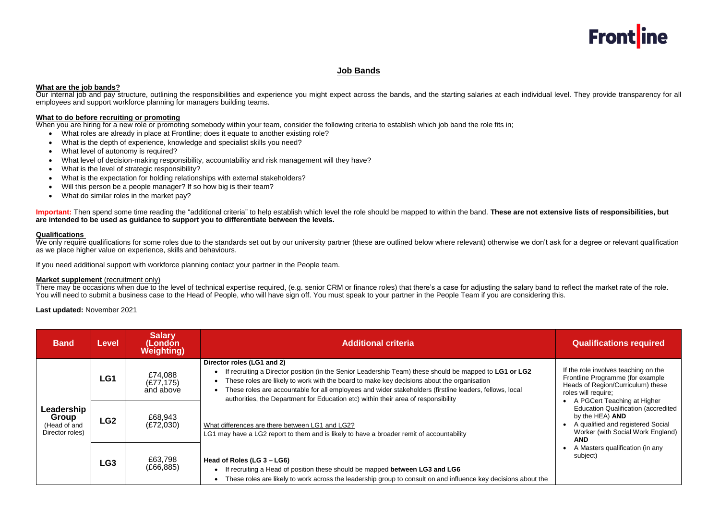## **Job Bands**

## **What are the job bands?**

Our internal job and pay structure, outlining the responsibilities and experience you might expect across the bands, and the starting salaries at each individual level. They provide transparency for all employees and support workforce planning for managers building teams.

### **What to do before recruiting or promoting**

When you are hiring for a new role or promoting somebody within your team, consider the following criteria to establish which job band the role fits in;

- What roles are already in place at Frontline; does it equate to another existing role?
- What is the depth of experience, knowledge and specialist skills you need?
- What level of autonomy is required?
- What level of decision-making responsibility, accountability and risk management will they have?
- What is the level of strategic responsibility?
- What is the expectation for holding relationships with external stakeholders?
- Will this person be a people manager? If so how big is their team?
- What do similar roles in the market pay?

We only require qualifications for some roles due to the standards set out by our university partner (these are outlined below where relevant) otherwise we don't ask for a degree or relevant qualification as we place higher value on experience, skills and behaviours.

**Important:** Then spend some time reading the "additional criteria" to help establish which level the role should be mapped to within the band. **These are not extensive lists of responsibilities, but are intended to be used as guidance to support you to differentiate between the levels.** 

#### **Qualifications**

If you need additional support with workforce planning contact your partner in the People team.

### **Market supplement** (recruitment only)

There may be occasions when due to the level of technical expertise required, (e.g. senior CRM or finance roles) that there's a case for adjusting the salary band to reflect the market rate of the role. You will need to submit a business case to the Head of People, who will have sign off. You must speak to your partner in the People Team if you are considering this.

**Last updated:** November 2021

| <b>Band</b>                                            | Level           | <b>Salary</b><br>(London<br><b>Weighting)</b> | <b>Additional criteria</b>                                                                                                                                                                                                                                                                                                                                                                                                                                                                                                                                                          | <b>Qualifications required</b>                                                                                                                                                                                                                                                                                                                                              |
|--------------------------------------------------------|-----------------|-----------------------------------------------|-------------------------------------------------------------------------------------------------------------------------------------------------------------------------------------------------------------------------------------------------------------------------------------------------------------------------------------------------------------------------------------------------------------------------------------------------------------------------------------------------------------------------------------------------------------------------------------|-----------------------------------------------------------------------------------------------------------------------------------------------------------------------------------------------------------------------------------------------------------------------------------------------------------------------------------------------------------------------------|
| Leadership<br>Group<br>(Head of and<br>Director roles) | LG1             | £74,088<br>(E77, 175)<br>and above            | Director roles (LG1 and 2)<br>If recruiting a Director position (in the Senior Leadership Team) these should be mapped to LG1 or LG2<br>These roles are likely to work with the board to make key decisions about the organisation<br>These roles are accountable for all employees and wider stakeholders (firstline leaders, fellows, local<br>authorities, the Department for Education etc) within their area of responsibility<br>What differences are there between LG1 and LG2?<br>LG1 may have a LG2 report to them and is likely to have a broader remit of accountability | If the role involves teaching on the<br>Frontline Programme (for example<br>Heads of Region/Curriculum) these<br>roles will require;<br>A PGCert Teaching at Higher<br><b>Education Qualification (accredited</b><br>by the HEA) AND<br>A qualified and registered Social<br>Worker (with Social Work England)<br><b>AND</b><br>A Masters qualification (in any<br>subject) |
|                                                        | LG <sub>2</sub> | £68,943<br>(E72,030)                          |                                                                                                                                                                                                                                                                                                                                                                                                                                                                                                                                                                                     |                                                                                                                                                                                                                                                                                                                                                                             |
|                                                        | LG3             | £63,798<br>(E66, 885)                         | Head of Roles (LG 3 – LG6)<br>If recruiting a Head of position these should be mapped between LG3 and LG6<br>These roles are likely to work across the leadership group to consult on and influence key decisions about the                                                                                                                                                                                                                                                                                                                                                         |                                                                                                                                                                                                                                                                                                                                                                             |

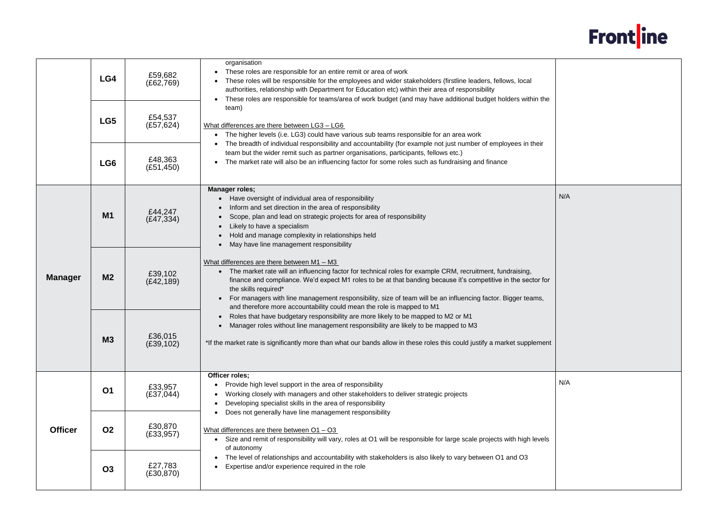|                | LG4            | £59,682<br>(E62,769)  | organisation<br>These roles are responsible for an entire remit or area of work<br>These roles will be responsible for the employees and wider stakeholders (firstline leaders, fellows, local<br>authorities, relationship with Department for Education etc) within their area of responsibility<br>These roles are responsible for teams/area of work budget (and may have additional budget holders within the                                                                                                   |
|----------------|----------------|-----------------------|----------------------------------------------------------------------------------------------------------------------------------------------------------------------------------------------------------------------------------------------------------------------------------------------------------------------------------------------------------------------------------------------------------------------------------------------------------------------------------------------------------------------|
|                | LG5            | £54,537<br>(E57, 624) | team)<br>What differences are there between LG3 - LG6<br>The higher levels (i.e. LG3) could have various sub teams responsible for an area work                                                                                                                                                                                                                                                                                                                                                                      |
|                | LG6            | £48,363<br>(E51, 450) | The breadth of individual responsibility and accountability (for example not just number of employees in their<br>team but the wider remit such as partner organisations, participants, fellows etc.)<br>The market rate will also be an influencing factor for some roles such as fundraising and finance                                                                                                                                                                                                           |
|                | M <sub>1</sub> | £44,247<br>(E47, 334) | <b>Manager roles;</b><br>Have oversight of individual area of responsibility<br>Inform and set direction in the area of responsibility<br>Scope, plan and lead on strategic projects for area of responsibility<br>Likely to have a specialism<br>Hold and manage complexity in relationships held<br>May have line management responsibility                                                                                                                                                                        |
| <b>Manager</b> | M <sub>2</sub> | £39,102<br>(E42, 189) | What differences are there between $M1 - M3$<br>The market rate will an influencing factor for technical roles for example CRM, recruitment, fundraising,<br>$\bullet$<br>finance and compliance. We'd expect M1 roles to be at that banding because it's competitive in the sector for<br>the skills required*<br>For managers with line management responsibility, size of team will be an influencing factor. Bigger teams,<br>$\bullet$<br>and therefore more accountability could mean the role is mapped to M1 |
|                | <b>M3</b>      | £36,015<br>(E39, 102) | Roles that have budgetary responsibility are more likely to be mapped to M2 or M1<br>Manager roles without line management responsibility are likely to be mapped to M3<br>*If the market rate is significantly more than what our bands allow in these roles this could justify a market supplement                                                                                                                                                                                                                 |
|                | <b>O1</b>      | £33,957<br>(E37,044)  | Officer roles;<br>Provide high level support in the area of responsibility<br>Working closely with managers and other stakeholders to deliver strategic projects<br>Developing specialist skills in the area of responsibility<br>Does not generally have line management responsibility                                                                                                                                                                                                                             |
| <b>Officer</b> | <b>O2</b>      | £30,870<br>(E33, 957) | What differences are there between $O1 - O3$<br>Size and remit of responsibility will vary, roles at O1 will be responsible for large scale projects with high levels<br>$\bullet$<br>of autonomy                                                                                                                                                                                                                                                                                                                    |
|                | <b>O3</b>      | £27,783<br>(E30, 870) | The level of relationships and accountability with stakeholders is also likely to vary between O1 and O3<br>Expertise and/or experience required in the role                                                                                                                                                                                                                                                                                                                                                         |



| ıe  |     |
|-----|-----|
|     | N/A |
| or  |     |
| nt: |     |
|     | N/A |
| ls  |     |